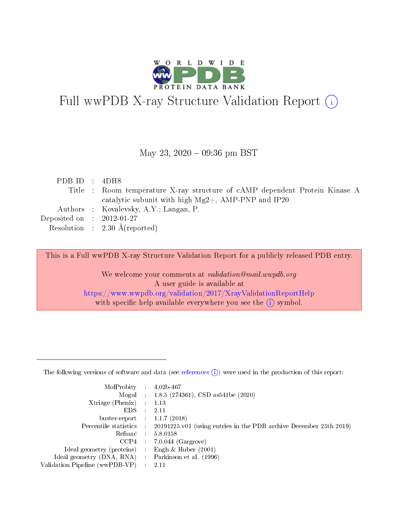

# Full wwPDB X-ray Structure Validation Report (i)

May 23, 2020 - 09:36 pm BST

| PDB ID : $4DH8$             |                                                                             |
|-----------------------------|-----------------------------------------------------------------------------|
|                             | Title : Room temperature X-ray structure of cAMP dependent Protein Kinase A |
|                             | catalytic subunit with high $Mg2+$ , AMP-PNP and IP20                       |
|                             | Authors : Kovalevsky, A.Y.; Langan, P.                                      |
| Deposited on : $2012-01-27$ |                                                                             |
|                             | Resolution : $2.30 \text{ Å}$ (reported)                                    |
|                             |                                                                             |

This is a Full wwPDB X-ray Structure Validation Report for a publicly released PDB entry.

We welcome your comments at validation@mail.wwpdb.org A user guide is available at <https://www.wwpdb.org/validation/2017/XrayValidationReportHelp> with specific help available everywhere you see the  $(i)$  symbol.

The following versions of software and data (see [references](https://www.wwpdb.org/validation/2017/XrayValidationReportHelp#references)  $(1)$ ) were used in the production of this report:

| $MolProbability$ 4.02b-467                        |                             |                                                                                            |
|---------------------------------------------------|-----------------------------|--------------------------------------------------------------------------------------------|
|                                                   |                             | Mogul : $1.8.5$ (274361), CSD as 541be (2020)                                              |
| $X$ triage (Phenix) :                             |                             | 1.13                                                                                       |
| EDS –                                             | $\mathcal{L}^{\mathcal{L}}$ | 2.11                                                                                       |
| buster-report : $1.1.7$ (2018)                    |                             |                                                                                            |
|                                                   |                             | Percentile statistics : 20191225.v01 (using entries in the PDB archive December 25th 2019) |
|                                                   |                             | Refmac $5.8.0158$                                                                          |
|                                                   |                             | $CCP4$ 7.0.044 (Gargrove)                                                                  |
| Ideal geometry (proteins) :                       |                             | Engh $\&$ Huber (2001)                                                                     |
| Ideal geometry (DNA, RNA) Parkinson et al. (1996) |                             |                                                                                            |
| Validation Pipeline (wwPDB-VP) : 2.11             |                             |                                                                                            |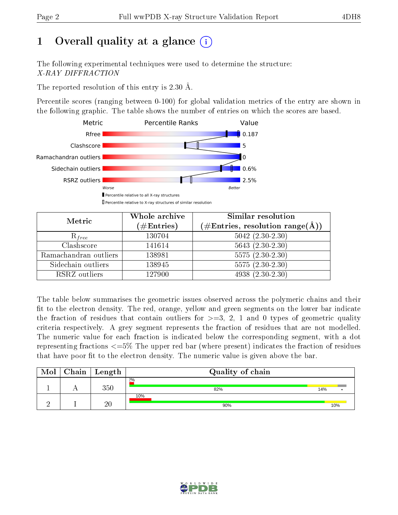# 1 [O](https://www.wwpdb.org/validation/2017/XrayValidationReportHelp#overall_quality)verall quality at a glance  $(i)$

The following experimental techniques were used to determine the structure: X-RAY DIFFRACTION

The reported resolution of this entry is 2.30 Å.

Percentile scores (ranging between 0-100) for global validation metrics of the entry are shown in the following graphic. The table shows the number of entries on which the scores are based.



| Metric                | Whole archive<br>$(\#\text{Entries})$ | Similar resolution<br>$(\#\text{Entries}, \text{resolution range}(\text{\AA}))$ |
|-----------------------|---------------------------------------|---------------------------------------------------------------------------------|
| $R_{free}$            | 130704                                | $5042$ $(2.30-2.30)$                                                            |
| Clashscore            | 141614                                | $5643(2.30-2.30)$                                                               |
| Ramachandran outliers | 138981                                | $5575(2.30-2.30)$                                                               |
| Sidechain outliers    | 138945                                | $5575(2.30-2.30)$                                                               |
| RSRZ outliers         | 127900                                | $4938(2.30-2.30)$                                                               |

The table below summarises the geometric issues observed across the polymeric chains and their fit to the electron density. The red, orange, yellow and green segments on the lower bar indicate the fraction of residues that contain outliers for  $>=3, 2, 1$  and 0 types of geometric quality criteria respectively. A grey segment represents the fraction of residues that are not modelled. The numeric value for each fraction is indicated below the corresponding segment, with a dot representing fractions  $\epsilon=5\%$  The upper red bar (where present) indicates the fraction of residues that have poor fit to the electron density. The numeric value is given above the bar.

| Mol | ${\bf Chain \mid Length}$ | Quality of chain |     |  |  |
|-----|---------------------------|------------------|-----|--|--|
|     | 350                       | 2%<br>82%        | 14% |  |  |
|     | 20                        | 10%<br>90%       | 10% |  |  |

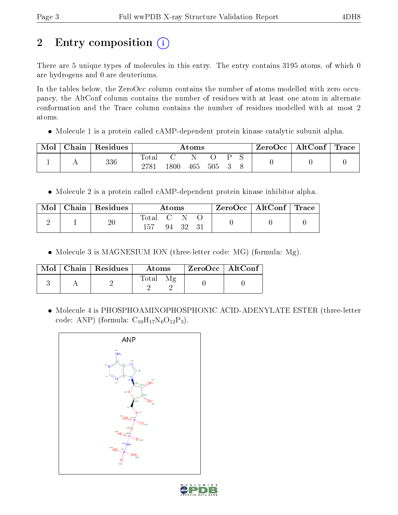# 2 Entry composition  $\left( \cdot \right)$

There are 5 unique types of molecules in this entry. The entry contains 3195 atoms, of which 0 are hydrogens and 0 are deuteriums.

In the tables below, the ZeroOcc column contains the number of atoms modelled with zero occupancy, the AltConf column contains the number of residues with at least one atom in alternate conformation and the Trace column contains the number of residues modelled with at most 2 atoms.

• Molecule 1 is a protein called cAMP-dependent protein kinase catalytic subunit alpha.

| Mol | ${\bf Chain \mid Residues}$ | Atoms |       |     |     | $\text{ZeroOcc}$   AltConf   Trace |  |  |  |
|-----|-----------------------------|-------|-------|-----|-----|------------------------------------|--|--|--|
|     | 336                         | Total | 1800- | 465 | 505 |                                    |  |  |  |

• Molecule 2 is a protein called cAMP-dependent protein kinase inhibitor alpha.

| Mol | Chain   Residues | Atoms   |  |       |  | $ZeroOcc \   \ AltConf \  $ | $\perp$ Trace |
|-----|------------------|---------|--|-------|--|-----------------------------|---------------|
|     | $20\,$           | Total C |  | 94 32 |  |                             |               |

• Molecule 3 is MAGNESIUM ION (three-letter code: MG) (formula: Mg).

|  | $Mol$   Chain   Residues | <b>Atoms</b> | ZeroOcc   AltConf |  |
|--|--------------------------|--------------|-------------------|--|
|  |                          | Total        |                   |  |

 Molecule 4 is PHOSPHOAMINOPHOSPHONIC ACID-ADENYLATE ESTER (three-letter code: ANP) (formula:  $C_{10}H_{17}N_6O_{12}P_3$ ).



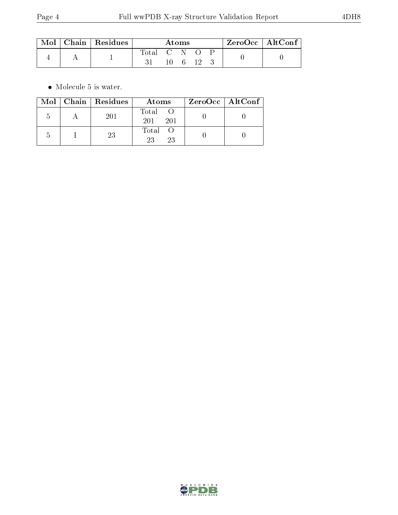|  | $\mid$ Mol $\mid$ Chain $\mid$ Residues | Atoms         |  |  | $\vert$ ZeroOcc $\vert$ AltConf $\vert$ |  |  |  |
|--|-----------------------------------------|---------------|--|--|-----------------------------------------|--|--|--|
|  |                                         | Total C N O P |  |  | $10 \quad 6 \quad 12$                   |  |  |  |

 $\bullet\,$  Molecule 5 is water.

|  | $Mol$   Chain   Residues | Atoms               | ZeroOcc   AltConf |  |
|--|--------------------------|---------------------|-------------------|--|
|  | 201                      | Total<br>201<br>201 |                   |  |
|  | 23                       | Total<br>23<br>23   |                   |  |

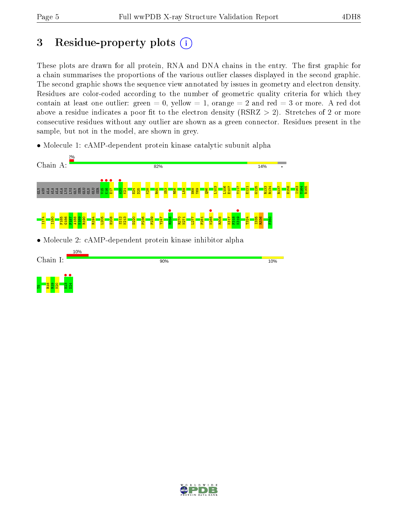## 3 Residue-property plots  $(i)$

These plots are drawn for all protein, RNA and DNA chains in the entry. The first graphic for a chain summarises the proportions of the various outlier classes displayed in the second graphic. The second graphic shows the sequence view annotated by issues in geometry and electron density. Residues are color-coded according to the number of geometric quality criteria for which they contain at least one outlier: green  $= 0$ , yellow  $= 1$ , orange  $= 2$  and red  $= 3$  or more. A red dot above a residue indicates a poor fit to the electron density (RSRZ  $> 2$ ). Stretches of 2 or more consecutive residues without any outlier are shown as a green connector. Residues present in the sample, but not in the model, are shown in grey.

• Molecule 1: cAMP-dependent protein kinase catalytic subunit alpha



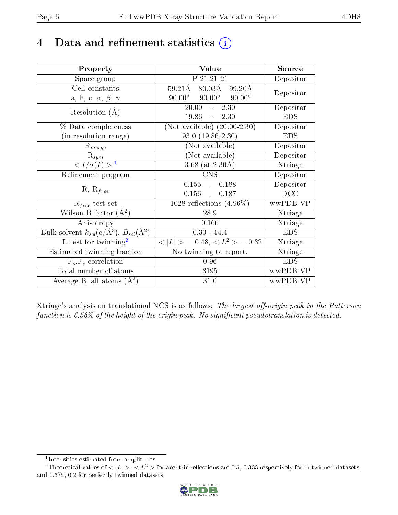## 4 Data and refinement statistics  $(i)$

| Property                                                             | Value                                            | Source     |
|----------------------------------------------------------------------|--------------------------------------------------|------------|
| Space group                                                          | P 21 21 21                                       | Depositor  |
| Cell constants                                                       | $80.03\text{\AA}$<br>$59.21\text{\AA}$<br>99.20Å | Depositor  |
| a, b, c, $\alpha$ , $\beta$ , $\gamma$                               | $90.00^{\circ}$ $90.00^{\circ}$<br>$90.00^\circ$ |            |
| Resolution $(A)$                                                     | 20.00<br>2.30<br>$\frac{1}{2}$                   | Depositor  |
|                                                                      | $19.86 - 2.30$                                   | <b>EDS</b> |
| % Data completeness                                                  | (Not available) $(20.00-2.30)$                   | Depositor  |
| (in resolution range)                                                | $93.0(19.86-2.30)$                               | <b>EDS</b> |
| $R_{merge}$                                                          | (Not available)                                  | Depositor  |
| $\mathbf{R}_{sym}$                                                   | (Not available)                                  | Depositor  |
| $\sqrt{I/\sigma}(I) > 1$                                             | 3.68 (at $2.30\text{\AA}$ )                      | Xtriage    |
| Refinement program                                                   | <b>CNS</b>                                       | Depositor  |
| $R, R_{free}$                                                        | $\overline{0.155}$ ,<br>0.188                    | Depositor  |
|                                                                      | 0.156<br>0.187                                   | DCC        |
| $R_{free}$ test set                                                  | 1028 reflections $(4.96\%)$                      | wwPDB-VP   |
| Wilson B-factor $(A^2)$                                              | 28.9                                             | Xtriage    |
| Anisotropy                                                           | 0.166                                            | Xtriage    |
| Bulk solvent $k_{sol}(e/\mathring{A}^3)$ , $B_{sol}(\mathring{A}^2)$ | 0.30, 44.4                                       | <b>EDS</b> |
| L-test for twinning <sup>2</sup>                                     | $< L >$ = 0.48, $< L^2 >$ = 0.32                 | Xtriage    |
| Estimated twinning fraction                                          | No twinning to report.                           | Xtriage    |
| $F_o, F_c$ correlation                                               | 0.96                                             | <b>EDS</b> |
| Total number of atoms                                                | 3195                                             | wwPDB-VP   |
| Average B, all atoms $(A^2)$                                         | 31.0                                             | wwPDB-VP   |

Xtriage's analysis on translational NCS is as follows: The largest off-origin peak in the Patterson function is  $6.56\%$  of the height of the origin peak. No significant pseudotranslation is detected.

<sup>&</sup>lt;sup>2</sup>Theoretical values of  $\langle |L| \rangle$ ,  $\langle L^2 \rangle$  for acentric reflections are 0.5, 0.333 respectively for untwinned datasets, and 0.375, 0.2 for perfectly twinned datasets.



<span id="page-5-1"></span><span id="page-5-0"></span><sup>1</sup> Intensities estimated from amplitudes.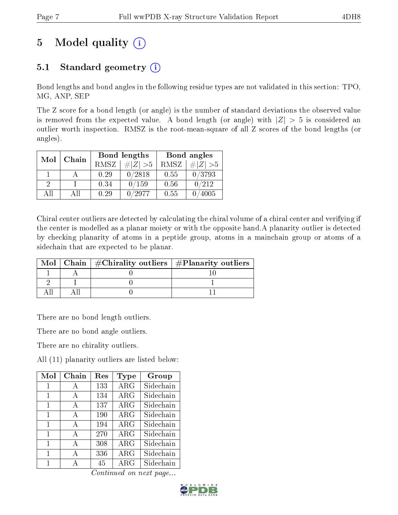# 5 Model quality  $(i)$

### 5.1 Standard geometry  $(i)$

Bond lengths and bond angles in the following residue types are not validated in this section: TPO, MG, ANP, SEP

The Z score for a bond length (or angle) is the number of standard deviations the observed value is removed from the expected value. A bond length (or angle) with  $|Z| > 5$  is considered an outlier worth inspection. RMSZ is the root-mean-square of all Z scores of the bond lengths (or angles).

|    | Chain<br>Mol |             | Bond lengths | Bond angles |             |  |
|----|--------------|-------------|--------------|-------------|-------------|--|
|    |              | <b>RMSZ</b> | $\# Z  > 5$  | RMSZ        | # $ Z  > 5$ |  |
|    |              | 0.29        | 0/2818       | 0.55        | 0/3793      |  |
| 2  |              | 0.34        | 0/159        | 0.56        | 0/212       |  |
| AΠ | ΑH           | 0.29        | /2977        | 0.55        | 4005        |  |

Chiral center outliers are detected by calculating the chiral volume of a chiral center and verifying if the center is modelled as a planar moiety or with the opposite hand.A planarity outlier is detected by checking planarity of atoms in a peptide group, atoms in a mainchain group or atoms of a sidechain that are expected to be planar.

|  | Mol   Chain   $\#\text{Chirality outliers}$   $\#\text{Planarity outliers}$ |
|--|-----------------------------------------------------------------------------|
|  |                                                                             |
|  |                                                                             |
|  |                                                                             |

There are no bond length outliers.

There are no bond angle outliers.

There are no chirality outliers.

All (11) planarity outliers are listed below:

| $\operatorname{Mol}$ | Chain | $\operatorname{Res}% \left( \mathcal{N}\right) \equiv\operatorname{Res}(\mathcal{N}_{0})\cap\mathcal{N}_{1}$ | Type       | Group     |
|----------------------|-------|--------------------------------------------------------------------------------------------------------------|------------|-----------|
| 1                    | A     | 133                                                                                                          | $\rm{ARG}$ | Sidechain |
| 1                    | A     | 134                                                                                                          | $\rm{ARG}$ | Sidechain |
| 1                    | A     | 137                                                                                                          | $\rm{ARG}$ | Sidechain |
| 1                    | A     | 190                                                                                                          | $\rm{ARG}$ | Sidechain |
| 1                    | A     | 194                                                                                                          | $\rm{ARG}$ | Sidechain |
| 1                    | A     | 270                                                                                                          | $\rm{ARG}$ | Sidechain |
| 1                    | A     | 308                                                                                                          | $\rm{ARG}$ | Sidechain |
| 1                    | A     | 336                                                                                                          | $\rm{ARG}$ | Sidechain |
| 1                    | А     | 45                                                                                                           | $\rm{ARG}$ | Sidechain |

Continued on next page...

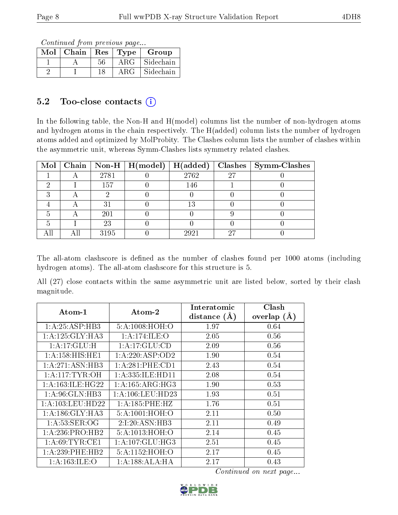Continued from previous page...

| Mol | Chain | ${\rm Res}$ | Type       | Group     |
|-----|-------|-------------|------------|-----------|
|     |       | 56          | $\rm{ARG}$ | Sidechain |
|     |       | 18          | ARG        | Sidechain |

### 5.2 Too-close contacts  $(i)$

In the following table, the Non-H and H(model) columns list the number of non-hydrogen atoms and hydrogen atoms in the chain respectively. The H(added) column lists the number of hydrogen atoms added and optimized by MolProbity. The Clashes column lists the number of clashes within the asymmetric unit, whereas Symm-Clashes lists symmetry related clashes.

|  |      | Mol   Chain   Non-H   H(model)   H(added) |      |    | $Clashes$   Symm-Clashes |
|--|------|-------------------------------------------|------|----|--------------------------|
|  | 2781 |                                           | 2762 | 27 |                          |
|  | 157  |                                           | 146  |    |                          |
|  |      |                                           |      |    |                          |
|  | 31   |                                           | 13   |    |                          |
|  | 201  |                                           |      |    |                          |
|  | 23   |                                           |      |    |                          |
|  | 3195 |                                           | 2921 | 27 |                          |

The all-atom clashscore is defined as the number of clashes found per 1000 atoms (including hydrogen atoms). The all-atom clashscore for this structure is 5.

All (27) close contacts within the same asymmetric unit are listed below, sorted by their clash magnitude.

| $\boldsymbol{\mathrm{Atom}\text{-}1}$ | $\boldsymbol{\mathrm{Atom}\text{-}2}$ | Interatomic    | Clash         |
|---------------------------------------|---------------------------------------|----------------|---------------|
|                                       |                                       | distance $(A)$ | overlap $(A)$ |
| 1: A:25:ASP:HB3                       | 5:A:1008:HOH:O                        | 1.97           | 0.64          |
| 1: A:125: GLY:HA3                     | 1:A:174:ILE:O                         | 2.05           | 0.56          |
| 1: A:17: GLU: H                       | 1:A:17:GLU:CD                         | 2.09           | 0.56          |
| 1:A:158:HIS:HE1                       | 1:A:220:ASP:OD2                       | 1.90           | 0.54          |
| 1: A:271: ASN:HB3                     | 1:A:281:PHE:CD1                       | 2.43           | 0.54          |
| 1: A: 117: TYR: OH                    | 1: A: 335: ILE: HD11                  | 2.08           | 0.54          |
| 1: A: 163: ILE: HG22                  | 1: A: 165: ARG: HG3                   | 1.90           | 0.53          |
| 1: A:96: GLN:HB3                      | 1:A:106:LEU:HD23                      | 1.93           | 0.51          |
| 1: A: 103: LEU: HD22                  | 1: A:185:PHE:HZ                       | 1.76           | 0.51          |
| 1: A:186: GLY:HA3                     | 5:A:1001:HOH:O                        | 2.11           | 0.50          |
| 1: A:53: SER:OG                       | 2:1:20:ASN:HB3                        | 2.11           | 0.49          |
| 1:A:236:PRO:HB2                       | 5:A:1013:HOH:O                        | 2.14           | 0.45          |
| 1: A:69:TYR:CE1                       | 1:A:107:GLU:HG3                       | 2.51           | 0.45          |
| 1:A:239:PHE:HB2                       | 5:A:1152:HOH:O                        | 2.17           | 0.45          |
| 1: A: 163: ILE: O                     | 1:A:188:ALA:HA                        | 2.17           | 0.43          |

Continued on next page...

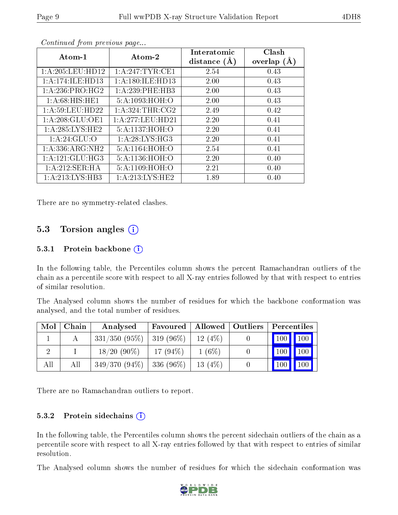| Atom-1              | Atom-2             | Interatomic    | Clash         |
|---------------------|--------------------|----------------|---------------|
|                     |                    | distance $(A)$ | overlap $(A)$ |
| 1:A:205:LEU:HD12    | 1: A:247:TYR:CE1   | 2.54           | 0.43          |
| 1:A:174:ILE:HD13    | 1:A:180:ILE:HD13   | 2.00           | 0.43          |
| 1: A:236: PRO:HG2   | 1:A:239:PHE:HB3    | 2.00           | 0.43          |
| 1: A:68: HIS: HE1   | 5:A:1093:HOH:O     | 2.00           | 0.43          |
| 1:A:59:LEU:HD22     | 1: A:324:THR:CG2   | 2.49           | 0.42          |
| 1: A:208: GLU:OE1   | 1:A:277:LEU:HD21   | 2.20           | 0.41          |
| 1: A:285:LYS:HE2    | 5:A:1137:HOH:O     | 2.20           | 0.41          |
| 1: A:24: GLU:O      | 1: A:28: LYS:HG3   | 2.20           | 0.41          |
| 1: A: 336: ARG: NH2 | 5:A:1164:HOH:O     | 2.54           | 0.41          |
| 1: A:121: GLU:HG3   | 5:A:1136:HOH:O     | 2.20           | 0.40          |
| 1:A:212:SER:HA      | 5:A:1109:HOH:O     | 2.21           | 0.40          |
| 1:A:213:LYS:HB3     | 1: A:213: LYS: HE2 | 1.89           | 0.40          |

Continued from previous page...

There are no symmetry-related clashes.

#### 5.3 Torsion angles  $(i)$

#### 5.3.1 Protein backbone  $(i)$

In the following table, the Percentiles column shows the percent Ramachandran outliers of the chain as a percentile score with respect to all X-ray entries followed by that with respect to entries of similar resolution.

The Analysed column shows the number of residues for which the backbone conformation was analysed, and the total number of residues.

| Mol | Chain | Analysed                      | Favoured   Allowed   Outliers |           | $\mid$ Percentiles $\mid$                            |
|-----|-------|-------------------------------|-------------------------------|-----------|------------------------------------------------------|
|     |       | $331/350$ (95\%)   319 (96\%) |                               | 12(4%)    | $\blacksquare$ 100 $\blacksquare$ 100 $\blacksquare$ |
|     |       | $18/20(90\%)$                 | $17(94\%)$                    | $1(6\%)$  | $\vert$ 100 $\vert$ 100 $\vert$ 1                    |
| All | All   | $349/370(94\%)$ 336 (96\%)    |                               | 13 $(4%)$ | $\vert$ 100 $\vert$ 100 $\vert$                      |

There are no Ramachandran outliers to report.

#### 5.3.2 Protein sidechains  $(i)$

In the following table, the Percentiles column shows the percent sidechain outliers of the chain as a percentile score with respect to all X-ray entries followed by that with respect to entries of similar resolution.

The Analysed column shows the number of residues for which the sidechain conformation was

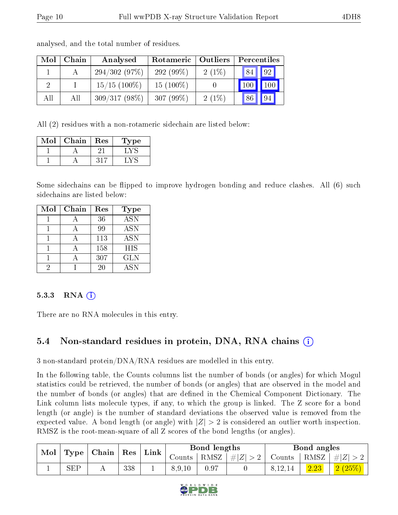| Mol | Chain | Analysed        | Rotameric    | $\blacksquare$ Outliers | Percentiles |    |  |
|-----|-------|-----------------|--------------|-------------------------|-------------|----|--|
|     |       | 294/302(97%)    | 292 $(99\%)$ | $2(1\%)$                | 84          | 92 |  |
|     |       | $15/15$ (100\%) | $15(100\%)$  |                         |             |    |  |
| All | Аll   | $309/317(98\%)$ | $307(99\%)$  | 2(1%)                   |             | 94 |  |

analysed, and the total number of residues.

All (2) residues with a non-rotameric sidechain are listed below:

| Mol | Chain | Res | Type |
|-----|-------|-----|------|
|     |       |     |      |
|     |       | ソイツ |      |

Some sidechains can be flipped to improve hydrogen bonding and reduce clashes. All (6) such sidechains are listed below:

| Mol | Chain | Res | <b>Type</b>      |
|-----|-------|-----|------------------|
|     |       | 36  | $\overline{ASN}$ |
|     |       | 99  | <b>ASN</b>       |
|     |       | 113 | <b>ASN</b>       |
|     |       | 158 | <b>HIS</b>       |
|     |       | 307 | <b>GLN</b>       |
|     |       | 20  | <b>ASN</b>       |

#### $5.3.3$  RNA  $(i)$

There are no RNA molecules in this entry.

### 5.4 Non-standard residues in protein, DNA, RNA chains (i)

3 non-standard protein/DNA/RNA residues are modelled in this entry.

In the following table, the Counts columns list the number of bonds (or angles) for which Mogul statistics could be retrieved, the number of bonds (or angles) that are observed in the model and the number of bonds (or angles) that are dened in the Chemical Component Dictionary. The Link column lists molecule types, if any, to which the group is linked. The Z score for a bond length (or angle) is the number of standard deviations the observed value is removed from the expected value. A bond length (or angle) with  $|Z| > 2$  is considered an outlier worth inspection. RMSZ is the root-mean-square of all Z scores of the bond lengths (or angles).

| Mol |              |  |     |  |                 |             |        |           |                 |        |  |  |  |  |  |  |  |  | $\mathbf{Res}$ |  | $\mathbf{Link}$ |  | Bond lengths |  |  | Bond angles |  |
|-----|--------------|--|-----|--|-----------------|-------------|--------|-----------|-----------------|--------|--|--|--|--|--|--|--|--|----------------|--|-----------------|--|--------------|--|--|-------------|--|
|     | Type   Chain |  |     |  | Counts   $RMSZ$ | $\# Z  > 2$ | Counts |           | RMSZ $ #Z  > 2$ |        |  |  |  |  |  |  |  |  |                |  |                 |  |              |  |  |             |  |
|     | <b>SEP</b>   |  | 338 |  | 8,9,10          |             |        | 8, 12, 14 | 2.23            | 2(25%) |  |  |  |  |  |  |  |  |                |  |                 |  |              |  |  |             |  |

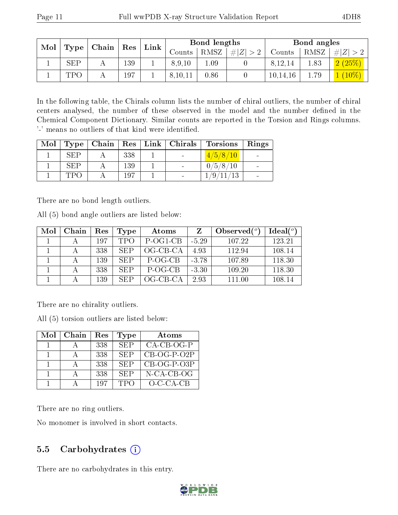| Mol |                |       |     |  |         |      | $\operatorname{Res}$ |            |      |          |  | Link |  | Bond lengths |  |  | Bond angles |  |  |
|-----|----------------|-------|-----|--|---------|------|----------------------|------------|------|----------|--|------|--|--------------|--|--|-------------|--|--|
|     | $\,$ Type $\,$ | Chain |     |  | Counts- | RMSZ | $\# Z  > 2$          | Counts     | RMSZ | Z        |  |      |  |              |  |  |             |  |  |
|     | <b>SEP</b>     |       | 139 |  | 8,9,10  | 1.09 |                      | 8.12.14    | 1.83 | 2(25%)   |  |      |  |              |  |  |             |  |  |
|     | TPC            |       | 197 |  | 8,10,11 | 0.86 |                      | 10, 14, 16 | 1.79 | $10\%$ ) |  |      |  |              |  |  |             |  |  |

In the following table, the Chirals column lists the number of chiral outliers, the number of chiral centers analysed, the number of these observed in the model and the number defined in the Chemical Component Dictionary. Similar counts are reported in the Torsion and Rings columns. '-' means no outliers of that kind were identified.

| Mol |         | $\top$ Type   Chain |     | $\mid$ Res $\mid$ Link $\mid$ Chirals $\mid$ | Dorsions        | Rings |
|-----|---------|---------------------|-----|----------------------------------------------|-----------------|-------|
|     | SEP     |                     | 338 |                                              | 4/5/8/10        |       |
|     | SEP     |                     | 139 |                                              | 0/5/8/10        |       |
|     | - 1'PO- |                     | 197 |                                              | /9 <sub>1</sub> |       |

There are no bond length outliers.

All (5) bond angle outliers are listed below:

| Mol | Chain | $\operatorname{Res}% \left( \mathcal{N}\right) \equiv\operatorname{Res}(\mathcal{N}_{0})\cap\mathcal{N}_{1}$ | Type       | Atoms       |         | Observed $(^\circ)$ | $Ideal(^o)$ |
|-----|-------|--------------------------------------------------------------------------------------------------------------|------------|-------------|---------|---------------------|-------------|
|     |       | 197                                                                                                          | <b>TPO</b> | P-OG1-CB    | $-5.29$ | 107.22              | 123.21      |
|     |       | 338                                                                                                          | <b>SEP</b> | $OG$ -CB-CA | 4.93    | 112.94              | 108.14      |
|     |       | 139                                                                                                          | SEP        | P-OG-CB     | $-3.78$ | 107.89              | 118.30      |
|     |       | 338                                                                                                          | SEP        | P-OG-CB     | $-3.30$ | 109.20              | 118.30      |
|     |       | 139                                                                                                          | SEP        | $OG-CB-CA$  | 2.93    | 111.00              | 108.14      |

There are no chirality outliers.

All (5) torsion outliers are listed below:

| Mol | Chain | Res | <b>Type</b> | Atoms         |
|-----|-------|-----|-------------|---------------|
|     |       | 338 | <b>SEP</b>  | $CA-CB-OG-P$  |
|     |       | 338 | <b>SEP</b>  | $CB-OG-P-O2P$ |
|     |       | 338 | <b>SEP</b>  | $CB-OG-P-O3P$ |
|     |       | 338 | <b>SEP</b>  | $N$ -CA-CB-OG |
|     |       | 197 | <b>TPO</b>  | $O-C-CA-CB$   |

There are no ring outliers.

No monomer is involved in short contacts.

### 5.5 Carbohydrates  $(i)$

There are no carbohydrates in this entry.

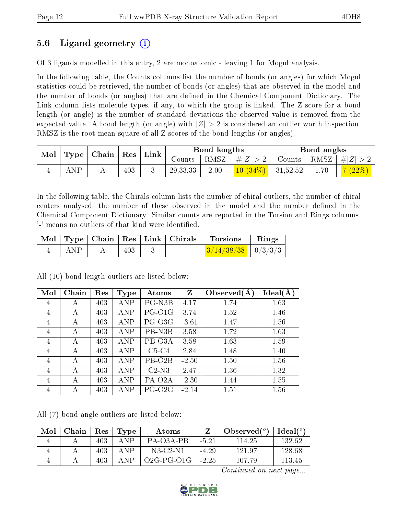### 5.6 Ligand geometry (i)

Of 3 ligands modelled in this entry, 2 are monoatomic - leaving 1 for Mogul analysis.

In the following table, the Counts columns list the number of bonds (or angles) for which Mogul statistics could be retrieved, the number of bonds (or angles) that are observed in the model and the number of bonds (or angles) that are dened in the Chemical Component Dictionary. The Link column lists molecule types, if any, to which the group is linked. The Z score for a bond length (or angle) is the number of standard deviations the observed value is removed from the expected value. A bond length (or angle) with  $|Z| > 2$  is considered an outlier worth inspection. RMSZ is the root-mean-square of all Z scores of the bond lengths (or angles).

| Mol |     | $\vert$ Type $\vert$ Chain $\vert$ | $\vert$ Res $\vert$ | $^+$ Link | Bond lengths                 |      |                                              | Bond angles |      |         |
|-----|-----|------------------------------------|---------------------|-----------|------------------------------|------|----------------------------------------------|-------------|------|---------|
|     |     |                                    |                     |           | $\sqrt{\rm \textit{counts}}$ | RMSZ | $\#Z >2^{-1}$                                | Counts      | RMSZ | $\# Z $ |
|     | ANP |                                    | 403                 |           | 29, 33, 33                   | 2.00 | $\left  \frac{10}{34\%} \right $   31,52,52, |             | 1.70 | 7(22%)  |

In the following table, the Chirals column lists the number of chiral outliers, the number of chiral centers analysed, the number of these observed in the model and the number defined in the Chemical Component Dictionary. Similar counts are reported in the Torsion and Rings columns. '-' means no outliers of that kind were identified.

|     |     | $\perp$ Mol $\mid$ Type $\mid$ Chain $\mid$ Res $\mid$ Link $\mid$ Chirals $\mid$ | Torsions                       | $\mathbf{Rings}$ |
|-----|-----|-----------------------------------------------------------------------------------|--------------------------------|------------------|
| ANP | 403 |                                                                                   | $\frac{3}{14/38/38}$   0/3/3/3 |                  |

All (10) bond length outliers are listed below:

| Mol | Chain | Res | <b>Type</b> | Atoms               | Z       | Observed $(A)$ | Ideal(A) |
|-----|-------|-----|-------------|---------------------|---------|----------------|----------|
| 4   | А     | 403 | ANP         | PG-N3B              | 4.17    | 1.74           | 1.63     |
| 4   | А     | 403 | <b>ANP</b>  | PG-O1G              | 3.74    | 1.52           | 1.46     |
| 4   | А     | 403 | <b>ANP</b>  | PG-O3G              | $-3.61$ | 1.47           | 1.56     |
| 4   | А     | 403 | ANP         | PB-N3B              | 3.58    | 1.72           | 1.63     |
| 4   | А     | 403 | <b>ANP</b>  | PB-O3A              | 3.58    | 1.63           | 1.59     |
| 4   | А     | 403 | <b>ANP</b>  | $C5-C4$             | 2.84    | 1.48           | 1.40     |
| 4   | А     | 403 | <b>ANP</b>  | PB-O <sub>2</sub> B | $-2.50$ | 1.50           | 1.56     |
| 4   | А     | 403 | <b>ANP</b>  | $C2-N3$             | 2.47    | 1.36           | 1.32     |
| 4   | А     | 403 | ANP         | PA-O <sub>2</sub> A | $-2.30$ | 1.44           | 1.55     |
| 4   | А     | 403 | <b>ANP</b>  | PG-O <sub>2G</sub>  | $-2.14$ | 1.51           | 1.56     |

All (7) bond angle outliers are listed below:

| Mol | Chain | $\operatorname{Res}$ | Type        | Atoms        |         | Observed $(°)$ | $\text{Ideal}({}^o)$ |
|-----|-------|----------------------|-------------|--------------|---------|----------------|----------------------|
|     |       | 403                  | A N P       | PA-03A-PB    | $-5.21$ | 114.25         | 132.62               |
|     |       | 403                  | A NP        | N3-C2-N1     | $-4.29$ | 121.97         | 128.68               |
|     |       | 403                  | $\Delta$ NP | $O2G-PG-O1G$ | $-2.25$ | 107.79         | 113.45               |

Continued on next page...

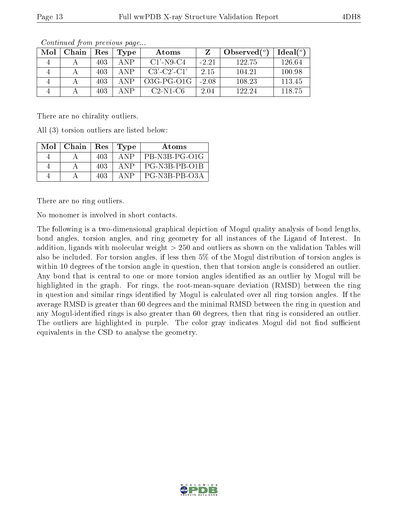| Mol | Chain | Res  | 'Type | Atoms                 |         | Observed $(°)$ | Ideal(°) |
|-----|-------|------|-------|-----------------------|---------|----------------|----------|
|     |       | 403  | A N P | $C1'$ -N9-C4          | $-2.21$ | 122.75         | 126.64   |
|     |       | 403. | A N P | $C3'$ - $C2'$ - $C1'$ | 2.15    | 104.21         | 100.98   |
|     |       | 403  | ΔNP   | $O3G$ -PG- $O1G$      | $-2.08$ | 108.23         | 113.45   |
|     |       | 403  | ΔNΡ   | $C2-N1-C6$            | 2.04    | 122.24         | 118.75   |

Continued from previous page...

There are no chirality outliers.

All (3) torsion outliers are listed below:

| $Mol$   Chain   Res |     | Type  | Atoms         |
|---------------------|-----|-------|---------------|
|                     | 403 | A NP  | PB-N3B-PG-O1G |
|                     | 403 | A N P | PG-N3B-PB-O1B |
|                     | 403 | A N P | PG-N3B-PB-O3A |

There are no ring outliers.

No monomer is involved in short contacts.

The following is a two-dimensional graphical depiction of Mogul quality analysis of bond lengths, bond angles, torsion angles, and ring geometry for all instances of the Ligand of Interest. In addition, ligands with molecular weight > 250 and outliers as shown on the validation Tables will also be included. For torsion angles, if less then 5% of the Mogul distribution of torsion angles is within 10 degrees of the torsion angle in question, then that torsion angle is considered an outlier. Any bond that is central to one or more torsion angles identified as an outlier by Mogul will be highlighted in the graph. For rings, the root-mean-square deviation (RMSD) between the ring in question and similar rings identified by Mogul is calculated over all ring torsion angles. If the average RMSD is greater than 60 degrees and the minimal RMSD between the ring in question and any Mogul-identified rings is also greater than 60 degrees, then that ring is considered an outlier. The outliers are highlighted in purple. The color gray indicates Mogul did not find sufficient equivalents in the CSD to analyse the geometry.

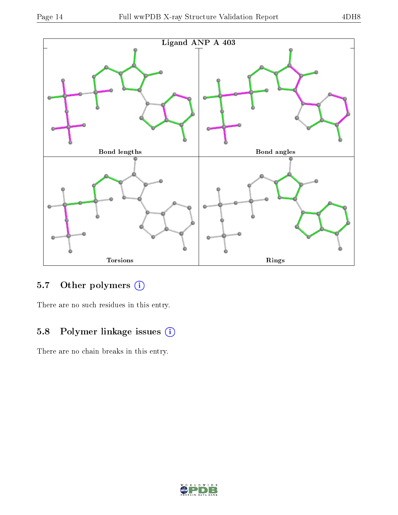

### 5.7 [O](https://www.wwpdb.org/validation/2017/XrayValidationReportHelp#nonstandard_residues_and_ligands)ther polymers (i)

There are no such residues in this entry.

### 5.8 Polymer linkage issues (i)

There are no chain breaks in this entry.

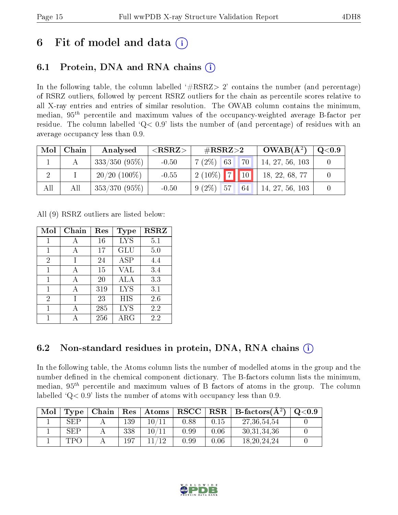## 6 Fit of model and data  $\left( \cdot \right)$

### 6.1 Protein, DNA and RNA chains (i)

In the following table, the column labelled  $#RSRZ>2'$  contains the number (and percentage) of RSRZ outliers, followed by percent RSRZ outliers for the chain as percentile scores relative to all X-ray entries and entries of similar resolution. The OWAB column contains the minimum, median,  $95<sup>th</sup>$  percentile and maximum values of the occupancy-weighted average B-factor per residue. The column labelled  $Q< 0.9$  lists the number of (and percentage) of residues with an average occupancy less than 0.9.

| Mol | Chain | Analysed        | ${ <\hspace{-1.5pt}{\mathrm{RSRZ}} \hspace{-1.5pt}>}$ | $\#\text{RSRZ}{>}2$ | $OWAB(A^2)$     | $\mathrm{Q} {<} 0.9$ |
|-----|-------|-----------------|-------------------------------------------------------|---------------------|-----------------|----------------------|
|     |       | $333/350(95\%)$ | $-0.50$                                               | 70<br>$7(2\%)$ 63   | 14, 27, 56, 103 |                      |
|     |       | $20/20$ (100\%) | $-0.55$                                               | $12(10\%)$ 7 10     | 18, 22, 68, 77  |                      |
| All | All   | $353/370(95\%)$ | $-0.50$                                               | $9(2\%)$ 57<br>64   | 14, 27, 56, 103 |                      |

All (9) RSRZ outliers are listed below:

| Mol | Chain | Res | Type        | <b>RSRZ</b> |
|-----|-------|-----|-------------|-------------|
| 1   | А     | 16  | <b>LYS</b>  | 5.1         |
| 1   | А     | 17  | GLU         | 5.0         |
| 2   |       | 24  | <b>ASP</b>  | 4.4         |
| 1   | А     | 15  | <b>VAL</b>  | 3.4         |
| 1   | A     | 20  | ALA         | 3.3         |
| 1   | А     | 319 | <b>LYS</b>  | 3.1         |
| 2   |       | 23  | HIS         | 2.6         |
| 1   |       | 285 | <b>LYS</b>  | 2.2         |
|     |       | 256 | ${\rm ARG}$ | 2.2         |

### 6.2 Non-standard residues in protein, DNA, RNA chains  $(i)$

In the following table, the Atoms column lists the number of modelled atoms in the group and the number defined in the chemical component dictionary. The B-factors column lists the minimum, median,  $95<sup>th</sup>$  percentile and maximum values of B factors of atoms in the group. The column labelled  $Q< 0.9$ ' lists the number of atoms with occupancy less than 0.9.

| Mol | Type <sub>1</sub> | Chain |     | $\mid$ $\mathrm{Res}\mid$ $\mathrm{Atoms}$ |      |      | $\text{RSCC}$   RSR   B-factors( $\AA^2$ ) | $\mathrm{Q}{<}0.9$ |
|-----|-------------------|-------|-----|--------------------------------------------|------|------|--------------------------------------------|--------------------|
|     | SEP               |       | 139 | 10/11                                      | 0.88 | 0.15 | 27, 36, 54, 54                             |                    |
|     | SEP               |       | 338 | 10/11                                      | 0.99 | 0.06 | 30, 31, 34, 36                             |                    |
|     | TPC.              |       | 197 |                                            | 0.99 | 0.06 | 18, 20, 24, 24                             |                    |

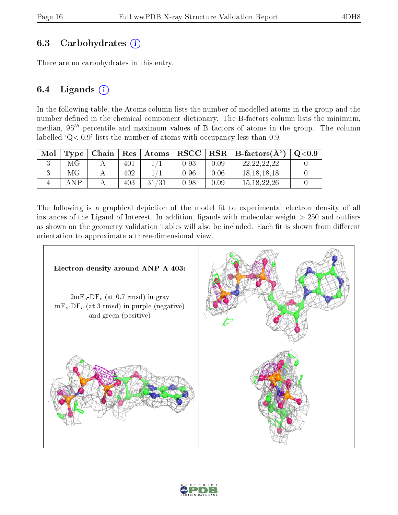#### 6.3 Carbohydrates  $(i)$

There are no carbohydrates in this entry.

### 6.4 Ligands  $(i)$

In the following table, the Atoms column lists the number of modelled atoms in the group and the number defined in the chemical component dictionary. The B-factors column lists the minimum, median,  $95<sup>th</sup>$  percentile and maximum values of B factors of atoms in the group. The column labelled  $Q < 0.9$ ' lists the number of atoms with occupancy less than 0.9.

| Mol | $\bf Type$ | Chain | <b>Res</b> | Atoms       | ${\bf RSCC}$ | $_{\rm RSR}$ | $\perp$ B-factors( $\AA^2$ ) | $\mathrm{Q}{<}0.9$ |
|-----|------------|-------|------------|-------------|--------------|--------------|------------------------------|--------------------|
|     | МG         |       | 401        |             | 0.93         | $0.09\,$     | 22, 22, 22, 22               |                    |
|     | МG         |       | 402        |             | ${).}96$     | $0.06\,$     | 18, 18, 18, 18               |                    |
|     | ΔNΡ        |       | 403        | 21<br>- 727 | ).98         | $0.09\,$     | 15, 18, 22, 26               |                    |

The following is a graphical depiction of the model fit to experimental electron density of all instances of the Ligand of Interest. In addition, ligands with molecular weight  $> 250$  and outliers as shown on the geometry validation Tables will also be included. Each fit is shown from different orientation to approximate a three-dimensional view.